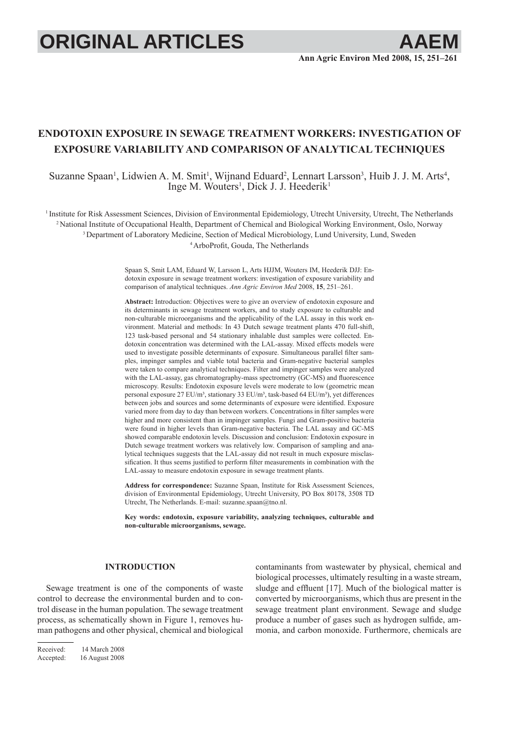# **ORIGINAL ARTICLES**

## **ENDOTOXIN EXPOSURE IN SEWAGE TREATMENT WORKERS: INVESTIGATION OF EXPOSURE VARIABILITY AND COMPARISON OF ANALYTICAL TECHNIQUES**

Suzanne Spaan<sup>1</sup>, Lidwien A. M. Smit<sup>1</sup>, Wijnand Eduard<sup>2</sup>, Lennart Larsson<sup>3</sup>, Huib J. J. M. Arts<sup>4</sup>, Inge M. Wouters<sup>1</sup>, Dick J. J. Heederik<sup>1</sup>

1 Institute for Risk Assessment Sciences, Division of Environmental Epidemiology, Utrecht University, Utrecht, The Netherlands 2 National Institute of Occupational Health, Department of Chemical and Biological Working Environment, Oslo, Norway <sup>3</sup> Department of Laboratory Medicine, Section of Medical Microbiology, Lund University, Lund, Sweden <sup>4</sup> ArboProfit, Gouda, The Netherlands

> Spaan S, Smit LAM, Eduard W, Larsson L, Arts HJJM, Wouters IM, Heederik DJJ: Endotoxin exposure in sewage treatment workers: investigation of exposure variability and comparison of analytical techniques. *Ann Agric Environ Med* 2008, **15**, 251–261.

> **Abstract:** Introduction: Objectives were to give an overview of endotoxin exposure and its determinants in sewage treatment workers, and to study exposure to culturable and non-culturable microorganisms and the applicability of the LAL assay in this work environment. Material and methods: In 43 Dutch sewage treatment plants 470 full-shift, 123 task-based personal and 54 stationary inhalable dust samples were collected. Endotoxin concentration was determined with the LAL-assay. Mixed effects models were used to investigate possible determinants of exposure. Simultaneous parallel filter samples, impinger samples and viable total bacteria and Gram-negative bacterial samples were taken to compare analytical techniques. Filter and impinger samples were analyzed with the LAL-assay, gas chromatography-mass spectrometry (GC-MS) and fluorescence microscopy. Results: Endotoxin exposure levels were moderate to low (geometric mean personal exposure 27 EU/m<sup>3</sup>, stationary 33 EU/m<sup>3</sup>, task-based 64 EU/m<sup>3</sup>), yet differences between jobs and sources and some determinants of exposure were identified. Exposure varied more from day to day than between workers. Concentrations in filter samples were higher and more consistent than in impinger samples. Fungi and Gram-positive bacteria were found in higher levels than Gram-negative bacteria. The LAL assay and GC-MS showed comparable endotoxin levels. Discussion and conclusion: Endotoxin exposure in Dutch sewage treatment workers was relatively low. Comparison of sampling and analytical techniques suggests that the LAL-assay did not result in much exposure misclassification. It thus seems justified to perform filter measurements in combination with the LAL-assay to measure endotoxin exposure in sewage treatment plants.

> **Address for correspondence:** Suzanne Spaan, Institute for Risk Assessment Sciences, division of Environmental Epidemiology, Utrecht University, PO Box 80178, 3508 TD Utrecht, The Netherlands. E-mail: suzanne.spaan@tno.nl.

> **Key words: endotoxin, exposure variability, analyzing techniques, culturable and non-culturable microorganisms, sewage.**

### **INTRODUCTION**

Sewage treatment is one of the components of waste control to decrease the environmental burden and to control disease in the human population. The sewage treatment process, as schematically shown in Figure 1, removes human pathogens and other physical, chemical and biological

contaminants from wastewater by physical, chemical and biological processes, ultimately resulting in a waste stream, sludge and effluent  $[17]$ . Much of the biological matter is converted by microorganisms, which thus are present in the sewage treatment plant environment. Sewage and sludge produce a number of gases such as hydrogen sulfide, ammonia, and carbon monoxide. Furthermore, chemicals are

Received: 14 March 2008 Accepted: 16 August 2008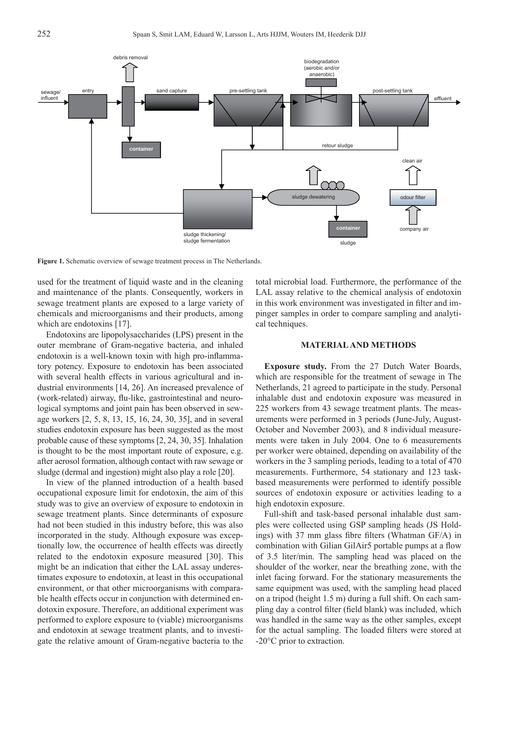

**Figure 1.** Schematic overview of sewage treatment process in The Netherlands.

used for the treatment of liquid waste and in the cleaning and maintenance of the plants. Consequently, workers in sewage treatment plants are exposed to a large variety of chemicals and microorganisms and their products, among which are endotoxins [17].

Endotoxins are lipopolysaccharides (LPS) present in the outer membrane of Gram-negative bacteria, and inhaled endotoxin is a well-known toxin with high pro-inflammatory potency. Exposure to endotoxin has been associated with several health effects in various agricultural and industrial environments [14, 26]. An increased prevalence of (work-related) airway, flu-like, gastrointestinal and neurological symptoms and joint pain has been observed in sewage workers [2, 5, 8, 13, 15, 16, 24, 30, 35], and in several studies endotoxin exposure has been suggested as the most probable cause of these symptoms [2, 24, 30, 35]. Inhalation is thought to be the most important route of exposure, e.g. after aerosol formation, although contact with raw sewage or sludge (dermal and ingestion) might also play a role [20].

In view of the planned introduction of a health based occupational exposure limit for endotoxin, the aim of this study was to give an overview of exposure to endotoxin in sewage treatment plants. Since determinants of exposure had not been studied in this industry before, this was also incorporated in the study. Although exposure was exceptionally low, the occurrence of health effects was directly related to the endotoxin exposure measured [30]. This might be an indication that either the LAL assay underestimates exposure to endotoxin, at least in this occupational environment, or that other microorganisms with comparable health effects occur in conjunction with determined endotoxin exposure. Therefore, an additional experiment was performed to explore exposure to (viable) microorganisms and endotoxin at sewage treatment plants, and to investigate the relative amount of Gram-negative bacteria to the total microbial load. Furthermore, the performance of the LAL assay relative to the chemical analysis of endotoxin in this work environment was investigated in filter and impinger samples in order to compare sampling and analytical techniques.

#### **MATERIAL AND METHODS**

**Exposure study.** From the 27 Dutch Water Boards, which are responsible for the treatment of sewage in The Netherlands, 21 agreed to participate in the study. Personal inhalable dust and endotoxin exposure was measured in 225 workers from 43 sewage treatment plants. The measurements were performed in 3 periods (June-July, August-October and November 2003), and 8 individual measurements were taken in July 2004. One to 6 measurements per worker were obtained, depending on availability of the workers in the 3 sampling periods, leading to a total of 470 measurements. Furthermore, 54 stationary and 123 taskbased measurements were performed to identify possible sources of endotoxin exposure or activities leading to a high endotoxin exposure.

Full-shift and task-based personal inhalable dust samples were collected using GSP sampling heads (JS Holdings) with 37 mm glass fibre filters (Whatman  $GF/A$ ) in combination with Gilian GilAir5 portable pumps at a flow of 3.5 liter/min. The sampling head was placed on the shoulder of the worker, near the breathing zone, with the inlet facing forward. For the stationary measurements the same equipment was used, with the sampling head placed on a tripod (height 1.5 m) during a full shift. On each sampling day a control filter (field blank) was included, which was handled in the same way as the other samples, except for the actual sampling. The loaded filters were stored at -20°C prior to extraction.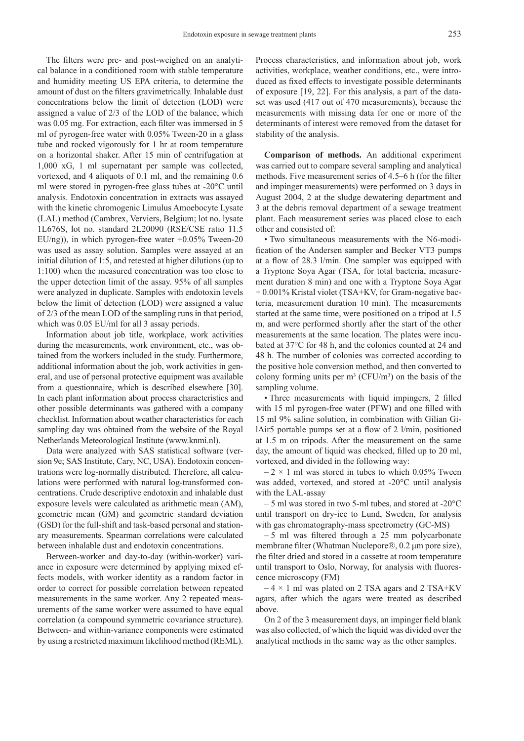The filters were pre- and post-weighed on an analytical balance in a conditioned room with stable temperature and humidity meeting US EPA criteria, to determine the amount of dust on the filters gravimetrically. Inhalable dust concentrations below the limit of detection (LOD) were assigned a value of 2/3 of the LOD of the balance, which was 0.05 mg. For extraction, each filter was immersed in 5 ml of pyrogen-free water with 0.05% Tween-20 in a glass tube and rocked vigorously for 1 hr at room temperature on a horizontal shaker. After 15 min of centrifugation at 1,000 xG, 1 ml supernatant per sample was collected, vortexed, and 4 aliquots of 0.1 ml, and the remaining 0.6 ml were stored in pyrogen-free glass tubes at -20°C until analysis. Endotoxin concentration in extracts was assayed with the kinetic chromogenic Limulus Amoebocyte Lysate (LAL) method (Cambrex, Verviers, Belgium; lot no. lysate 1L676S, lot no. standard 2L20090 (RSE/CSE ratio 11.5 EU/ng)), in which pyrogen-free water  $+0.05\%$  Tween-20 was used as assay solution. Samples were assayed at an initial dilution of 1:5, and retested at higher dilutions (up to 1:100) when the measured concentration was too close to the upper detection limit of the assay. 95% of all samples were analyzed in duplicate. Samples with endotoxin levels below the limit of detection (LOD) were assigned a value of 2/3 of the mean LOD of the sampling runs in that period, which was  $0.05$  EU/ml for all 3 assay periods.

Information about job title, workplace, work activities during the measurements, work environment, etc., was obtained from the workers included in the study. Furthermore, additional information about the job, work activities in general, and use of personal protective equipment was available from a questionnaire, which is described elsewhere [30]. In each plant information about process characteristics and other possible determinants was gathered with a company checklist. Information about weather characteristics for each sampling day was obtained from the website of the Royal Netherlands Meteorological Institute (www.knmi.nl).

Data were analyzed with SAS statistical software (version 9e; SAS Institute, Cary, NC, USA). Endotoxin concentrations were log-normally distributed. Therefore, all calculations were performed with natural log-transformed concentrations. Crude descriptive endotoxin and inhalable dust exposure levels were calculated as arithmetic mean (AM), geometric mean (GM) and geometric standard deviation (GSD) for the full-shift and task-based personal and stationary measurements. Spearman correlations were calculated between inhalable dust and endotoxin concentrations.

Between-worker and day-to-day (within-worker) variance in exposure were determined by applying mixed effects models, with worker identity as a random factor in order to correct for possible correlation between repeated measurements in the same worker. Any 2 repeated measurements of the same worker were assumed to have equal correlation (a compound symmetric covariance structure). Between- and within-variance components were estimated by using a restricted maximum likelihood method (REML).

Process characteristics, and information about job, work activities, workplace, weather conditions, etc., were introduced as fixed effects to investigate possible determinants of exposure [19, 22]. For this analysis, a part of the dataset was used (417 out of 470 measurements), because the measurements with missing data for one or more of the determinants of interest were removed from the dataset for stability of the analysis.

**Comparison of methods.** An additional experiment was carried out to compare several sampling and analytical methods. Five measurement series of 4.5–6 h (for the filter and impinger measurements) were performed on 3 days in August 2004, 2 at the sludge dewatering department and 3 at the debris removal department of a sewage treatment plant. Each measurement series was placed close to each other and consisted of:

• Two simultaneous measurements with the N6-modification of the Andersen sampler and Becker VT3 pumps at a flow of  $28.3$  l/min. One sampler was equipped with a Tryptone Soya Agar (TSA, for total bacteria, measurement duration 8 min) and one with a Tryptone Soya Agar + 0.001% Kristal violet (TSA+KV, for Gram-negative bacteria, measurement duration 10 min). The measurements started at the same time, were positioned on a tripod at 1.5 m, and were performed shortly after the start of the other measurements at the same location. The plates were incubated at 37°C for 48 h, and the colonies counted at 24 and 48 h. The number of colonies was corrected according to the positive hole conversion method, and then converted to colony forming units per  $m<sup>3</sup>$  (CFU/m<sup>3</sup>) on the basis of the sampling volume.

• Three measurements with liquid impingers, 2 filled with 15 ml pyrogen-free water (PFW) and one filled with 15 ml 9% saline solution, in combination with Gilian GilAir5 portable pumps set at a flow of  $2 \frac{1}{min}$ , positioned at 1.5 m on tripods. After the measurement on the same day, the amount of liquid was checked, filled up to 20 ml, vortexed, and divided in the following way:

 $-2 \times 1$  ml was stored in tubes to which 0.05% Tween was added, vortexed, and stored at -20°C until analysis with the LAL-assay

– 5 ml was stored in two 5-ml tubes, and stored at -20°C until transport on dry-ice to Lund, Sweden, for analysis with gas chromatography-mass spectrometry (GC-MS)

 $-5$  ml was filtered through a 25 mm polycarbonate membrane filter (Whatman Nuclepore®, 0.2 μm pore size), the filter dried and stored in a cassette at room temperature until transport to Oslo, Norway, for analysis with fluorescence microscopy (FM)

 $-4 \times 1$  ml was plated on 2 TSA agars and 2 TSA+KV agars, after which the agars were treated as described above.

On 2 of the 3 measurement days, an impinger field blank was also collected, of which the liquid was divided over the analytical methods in the same way as the other samples.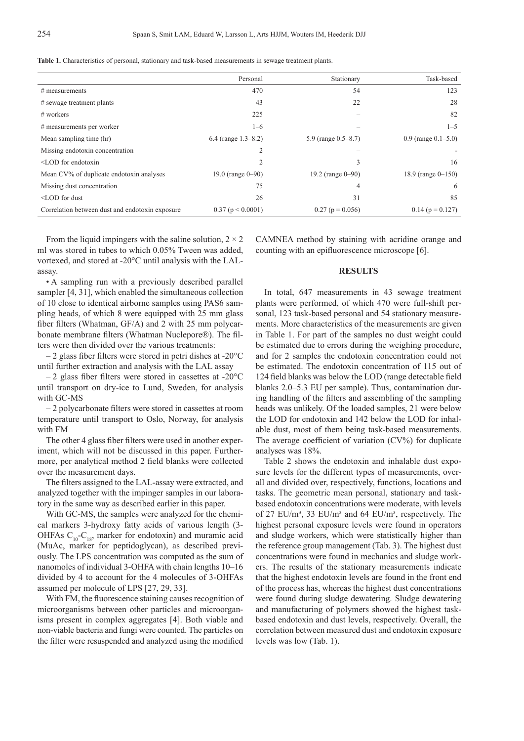|                                                 | Personal               | Stationary             | Task-based               |
|-------------------------------------------------|------------------------|------------------------|--------------------------|
| $#$ measurements                                | 470                    | 54                     | 123                      |
| $#$ sewage treatment plants                     | 43                     | 22                     | 28                       |
| $#$ workers                                     | 225                    |                        | 82                       |
| # measurements per worker                       | $1 - 6$                |                        | $1 - 5$                  |
| Mean sampling time (hr)                         | $6.4$ (range 1.3–8.2)  | 5.9 (range 0.5–8.7)    | $0.9$ (range $0.1-5.0$ ) |
| Missing endotoxin concentration                 |                        |                        |                          |
| $\leq$ LOD for endotoxin                        |                        | 3                      | 16                       |
| Mean CV% of duplicate endotoxin analyses        | 19.0 (range $0 - 90$ ) | 19.2 (range $0 - 90$ ) | 18.9 (range $0-150$ )    |
| Missing dust concentration                      | 75                     | 4                      | 6                        |
| $\leq$ LOD for dust                             | 26                     | 31                     | 85                       |
| Correlation between dust and endotoxin exposure | $0.37$ (p < 0.0001)    | $0.27$ (p = 0.056)     | $0.14$ (p = 0.127)       |

**Table 1.** Characteristics of personal, stationary and task-based measurements in sewage treatment plants.

From the liquid impingers with the saline solution,  $2 \times 2$ ml was stored in tubes to which 0.05% Tween was added, vortexed, and stored at -20°C until analysis with the LALassay.

• A sampling run with a previously described parallel sampler [4, 31], which enabled the simultaneous collection of 10 close to identical airborne samples using PAS6 sampling heads, of which 8 were equipped with 25 mm glass fiber filters (Whatman,  $GF/A$ ) and 2 with 25 mm polycarbonate membrane filters (Whatman Nuclepore®). The filters were then divided over the various treatments:

 $-2$  glass fiber filters were stored in petri dishes at -20 $\degree$ C until further extraction and analysis with the LAL assay

 $-2$  glass fiber filters were stored in cassettes at  $-20^{\circ}$ C until transport on dry-ice to Lund, Sweden, for analysis with GC-MS

– 2 polycarbonate fi lters were stored in cassettes at room temperature until transport to Oslo, Norway, for analysis with FM

The other 4 glass fiber filters were used in another experiment, which will not be discussed in this paper. Furthermore, per analytical method 2 field blanks were collected over the measurement days.

The filters assigned to the LAL-assay were extracted, and analyzed together with the impinger samples in our laboratory in the same way as described earlier in this paper.

With GC-MS, the samples were analyzed for the chemical markers 3-hydroxy fatty acids of various length (3- OHFAs  $C_{10}$ - $C_{18}$ , marker for endotoxin) and muramic acid (MuAc, marker for peptidoglycan), as described previously. The LPS concentration was computed as the sum of nanomoles of individual 3-OHFA with chain lengths 10–16 divided by 4 to account for the 4 molecules of 3-OHFAs assumed per molecule of LPS [27, 29, 33].

With FM, the fluorescence staining causes recognition of microorganisms between other particles and microorganisms present in complex aggregates [4]. Both viable and non-viable bacteria and fungi were counted. The particles on the filter were resuspended and analyzed using the modified

CAMNEA method by staining with acridine orange and counting with an epifluorescence microscope [6].

#### **RESULTS**

In total, 647 measurements in 43 sewage treatment plants were performed, of which 470 were full-shift personal, 123 task-based personal and 54 stationary measurements. More characteristics of the measurements are given in Table 1. For part of the samples no dust weight could be estimated due to errors during the weighing procedure, and for 2 samples the endotoxin concentration could not be estimated. The endotoxin concentration of 115 out of 124 field blanks was below the LOD (range detectable field blanks 2.0–5.3 EU per sample). Thus, contamination during handling of the filters and assembling of the sampling heads was unlikely. Of the loaded samples, 21 were below the LOD for endotoxin and 142 below the LOD for inhalable dust, most of them being task-based measurements. The average coefficient of variation  $(CV%)$  for duplicate analyses was 18%.

Table 2 shows the endotoxin and inhalable dust exposure levels for the different types of measurements, overall and divided over, respectively, functions, locations and tasks. The geometric mean personal, stationary and taskbased endotoxin concentrations were moderate, with levels of 27 EU/m<sup>3</sup>, 33 EU/m<sup>3</sup> and 64 EU/m<sup>3</sup>, respectively. The highest personal exposure levels were found in operators and sludge workers, which were statistically higher than the reference group management (Tab. 3). The highest dust concentrations were found in mechanics and sludge workers. The results of the stationary measurements indicate that the highest endotoxin levels are found in the front end of the process has, whereas the highest dust concentrations were found during sludge dewatering. Sludge dewatering and manufacturing of polymers showed the highest taskbased endotoxin and dust levels, respectively. Overall, the correlation between measured dust and endotoxin exposure levels was low (Tab. 1).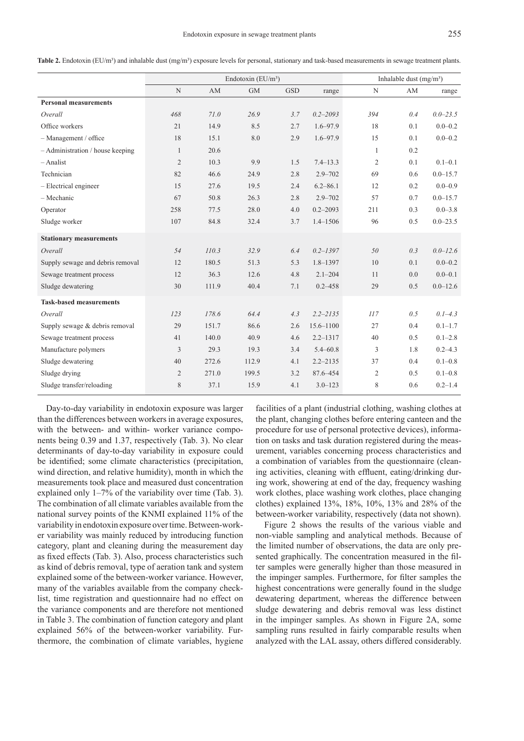Table 2. Endotoxin (EU/m<sup>3</sup>) and inhalable dust (mg/m<sup>3</sup>) exposure levels for personal, stationary and task-based measurements in sewage treatment plants.

|                                  | Endotoxin $(EU/m^3)$ |       |           |            |               | Inhalable dust $(mg/m3)$ |     |              |  |
|----------------------------------|----------------------|-------|-----------|------------|---------------|--------------------------|-----|--------------|--|
|                                  | N                    | AM    | <b>GM</b> | <b>GSD</b> | range         | N                        | AM  | range        |  |
| <b>Personal measurements</b>     |                      |       |           |            |               |                          |     |              |  |
| Overall                          | 468                  | 71.0  | 26.9      | 3.7        | $0.2 - 2093$  | 394                      | 0.4 | $0.0 - 23.5$ |  |
| Office workers                   | 21                   | 14.9  | 8.5       | 2.7        | $1.6 - 97.9$  | 18                       | 0.1 | $0.0 - 0.2$  |  |
| $-$ Management / office          | 18                   | 15.1  | 8.0       | 2.9        | $1.6 - 97.9$  | 15                       | 0.1 | $0.0 - 0.2$  |  |
| - Administration / house keeping | 1                    | 20.6  |           |            |               | $\mathbf{1}$             | 0.2 |              |  |
| $-$ Analist                      | $\overline{2}$       | 10.3  | 9.9       | 1.5        | $7.4 - 13.3$  | $\overline{2}$           | 0.1 | $0.1 - 0.1$  |  |
| Technician                       | 82                   | 46.6  | 24.9      | 2.8        | $2.9 - 702$   | 69                       | 0.6 | $0.0 - 15.7$ |  |
| - Electrical engineer            | 15                   | 27.6  | 19.5      | 2.4        | $6.2 - 86.1$  | 12                       | 0.2 | $0.0 - 0.9$  |  |
| - Mechanic                       | 67                   | 50.8  | 26.3      | 2.8        | $2.9 - 702$   | 57                       | 0.7 | $0.0 - 15.7$ |  |
| Operator                         | 258                  | 77.5  | 28.0      | 4.0        | $0.2 - 2093$  | 211                      | 0.3 | $0.0 - 3.8$  |  |
| Sludge worker                    | 107                  | 84.8  | 32.4      | 3.7        | $1.4 - 1506$  | 96                       | 0.5 | $0.0 - 23.5$ |  |
| <b>Stationary measurements</b>   |                      |       |           |            |               |                          |     |              |  |
| Overall                          | 54                   | 110.3 | 32.9      | 6.4        | $0.2 - 1397$  | 50                       | 0.3 | $0.0 - 12.6$ |  |
| Supply sewage and debris removal | 12                   | 180.5 | 51.3      | 5.3        | $1.8 - 1397$  | 10                       | 0.1 | $0.0 - 0.2$  |  |
| Sewage treatment process         | 12                   | 36.3  | 12.6      | 4.8        | $2.1 - 204$   | 11                       | 0.0 | $0.0 - 0.1$  |  |
| Sludge dewatering                | 30                   | 111.9 | 40.4      | 7.1        | $0.2 - 458$   | 29                       | 0.5 | $0.0 - 12.6$ |  |
| <b>Task-based measurements</b>   |                      |       |           |            |               |                          |     |              |  |
| Overall                          | 123                  | 178.6 | 64.4      | 4.3        | $2.2 - 2135$  | 117                      | 0.5 | $0.1 - 4.3$  |  |
| Supply sewage & debris removal   | 29                   | 151.7 | 86.6      | 2.6        | $15.6 - 1100$ | 27                       | 0.4 | $0.1 - 1.7$  |  |
| Sewage treatment process         | 41                   | 140.0 | 40.9      | 4.6        | $2.2 - 1317$  | 40                       | 0.5 | $0.1 - 2.8$  |  |
| Manufacture polymers             | 3                    | 29.3  | 19.3      | 3.4        | $5.4 - 60.8$  | 3                        | 1.8 | $0.2 - 4.3$  |  |
| Sludge dewatering                | 40                   | 272.6 | 112.9     | 4.1        | $2.2 - 2135$  | 37                       | 0.4 | $0.1 - 0.8$  |  |
| Sludge drying                    | 2                    | 271.0 | 199.5     | 3.2        | 87.6-454      | $\overline{2}$           | 0.5 | $0.1 - 0.8$  |  |
| Sludge transfer/reloading        | 8                    | 37.1  | 15.9      | 4.1        | $3.0 - 123$   | 8                        | 0.6 | $0.2 - 1.4$  |  |

Day-to-day variability in endotoxin exposure was larger than the differences between workers in average exposures, with the between- and within- worker variance components being 0.39 and 1.37, respectively (Tab. 3). No clear determinants of day-to-day variability in exposure could be identified; some climate characteristics (precipitation, wind direction, and relative humidity), month in which the measurements took place and measured dust concentration explained only 1–7% of the variability over time (Tab. 3). The combination of all climate variables available from the national survey points of the KNMI explained 11% of the variability in endotoxin exposure over time. Between-worker variability was mainly reduced by introducing function category, plant and cleaning during the measurement day as fixed effects (Tab. 3). Also, process characteristics such as kind of debris removal, type of aeration tank and system explained some of the between-worker variance. However, many of the variables available from the company checklist, time registration and questionnaire had no effect on the variance components and are therefore not mentioned in Table 3. The combination of function category and plant explained 56% of the between-worker variability. Furthermore, the combination of climate variables, hygiene

facilities of a plant (industrial clothing, washing clothes at the plant, changing clothes before entering canteen and the procedure for use of personal protective devices), information on tasks and task duration registered during the measurement, variables concerning process characteristics and a combination of variables from the questionnaire (cleaning activities, cleaning with effluent, eating/drinking during work, showering at end of the day, frequency washing work clothes, place washing work clothes, place changing clothes) explained 13%, 18%, 10%, 13% and 28% of the between-worker variability, respectively (data not shown).

Figure 2 shows the results of the various viable and non-viable sampling and analytical methods. Because of the limited number of observations, the data are only presented graphically. The concentration measured in the filter samples were generally higher than those measured in the impinger samples. Furthermore, for filter samples the highest concentrations were generally found in the sludge dewatering department, whereas the difference between sludge dewatering and debris removal was less distinct in the impinger samples. As shown in Figure 2A, some sampling runs resulted in fairly comparable results when analyzed with the LAL assay, others differed considerably.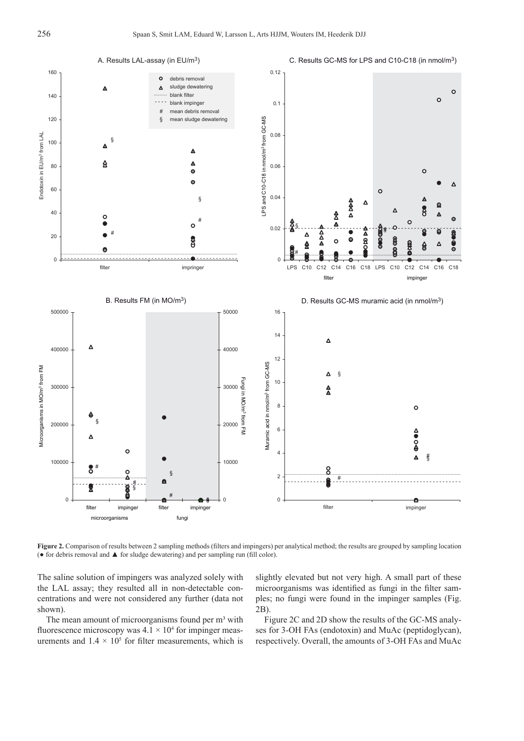

**Figure 2.** Comparison of results between 2 sampling methods (filters and impingers) per analytical method; the results are grouped by sampling location  $\bullet$  for debris removal and  $\blacktriangle$  for sludge dewatering) and per sampling run (fill color).

The saline solution of impingers was analyzed solely with the LAL assay; they resulted all in non-detectable concentrations and were not considered any further (data not shown).

The mean amount of microorganisms found per m<sup>3</sup> with fluorescence microscopy was  $4.1 \times 10^4$  for impinger measurements and  $1.4 \times 10^5$  for filter measurements, which is slightly elevated but not very high. A small part of these microorganisms was identified as fungi in the filter samples; no fungi were found in the impinger samples (Fig. 2B).

Figure 2C and 2D show the results of the GC-MS analyses for 3-OH FAs (endotoxin) and MuAc (peptidoglycan), respectively. Overall, the amounts of 3-OH FAs and MuAc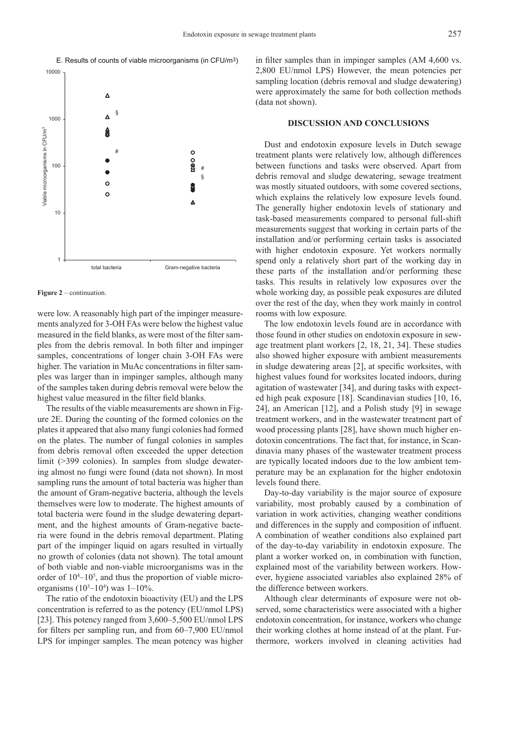



#### **Figure 2** – continuation.

were low. A reasonably high part of the impinger measurements analyzed for 3-OH FAs were below the highest value measured in the field blanks, as were most of the filter samples from the debris removal. In both filter and impinger samples, concentrations of longer chain 3-OH FAs were higher. The variation in MuAc concentrations in filter samples was larger than in impinger samples, although many of the samples taken during debris removal were below the highest value measured in the filter field blanks.

The results of the viable measurements are shown in Figure 2E. During the counting of the formed colonies on the plates it appeared that also many fungi colonies had formed on the plates. The number of fungal colonies in samples from debris removal often exceeded the upper detection limit (>399 colonies). In samples from sludge dewatering almost no fungi were found (data not shown). In most sampling runs the amount of total bacteria was higher than the amount of Gram-negative bacteria, although the levels themselves were low to moderate. The highest amounts of total bacteria were found in the sludge dewatering department, and the highest amounts of Gram-negative bacteria were found in the debris removal department. Plating part of the impinger liquid on agars resulted in virtually no growth of colonies (data not shown). The total amount of both viable and non-viable microorganisms was in the order of  $10^{4}$ – $10^{5}$ , and thus the proportion of viable microorganisms  $(10^{3}-10^{4})$  was  $1-10\%$ .

The ratio of the endotoxin bioactivity (EU) and the LPS concentration is referred to as the potency (EU/nmol LPS) [23]. This potency ranged from 3,600–5,500 EU/nmol LPS for filters per sampling run, and from  $60-7,900$  EU/nmol LPS for impinger samples. The mean potency was higher

in filter samples than in impinger samples  $(AM 4,600 \text{ vs.})$ 2,800 EU/nmol LPS) However, the mean potencies per sampling location (debris removal and sludge dewatering) were approximately the same for both collection methods (data not shown).

#### **DISCUSSION AND CONCLUSIONS**

Dust and endotoxin exposure levels in Dutch sewage treatment plants were relatively low, although differences between functions and tasks were observed. Apart from debris removal and sludge dewatering, sewage treatment was mostly situated outdoors, with some covered sections, which explains the relatively low exposure levels found. The generally higher endotoxin levels of stationary and task-based measurements compared to personal full-shift measurements suggest that working in certain parts of the installation and/or performing certain tasks is associated with higher endotoxin exposure. Yet workers normally spend only a relatively short part of the working day in these parts of the installation and/or performing these tasks. This results in relatively low exposures over the whole working day, as possible peak exposures are diluted over the rest of the day, when they work mainly in control rooms with low exposure.

The low endotoxin levels found are in accordance with those found in other studies on endotoxin exposure in sewage treatment plant workers [2, 18, 21, 34]. These studies also showed higher exposure with ambient measurements in sludge dewatering areas  $[2]$ , at specific worksites, with highest values found for worksites located indoors, during agitation of wastewater [34], and during tasks with expected high peak exposure [18]. Scandinavian studies [10, 16, 24], an American [12], and a Polish study [9] in sewage treatment workers, and in the wastewater treatment part of wood processing plants [28], have shown much higher endotoxin concentrations. The fact that, for instance, in Scandinavia many phases of the wastewater treatment process are typically located indoors due to the low ambient temperature may be an explanation for the higher endotoxin levels found there.

Day-to-day variability is the major source of exposure variability, most probably caused by a combination of variation in work activities, changing weather conditions and differences in the supply and composition of influent. A combination of weather conditions also explained part of the day-to-day variability in endotoxin exposure. The plant a worker worked on, in combination with function, explained most of the variability between workers. However, hygiene associated variables also explained 28% of the difference between workers.

Although clear determinants of exposure were not observed, some characteristics were associated with a higher endotoxin concentration, for instance, workers who change their working clothes at home instead of at the plant. Furthermore, workers involved in cleaning activities had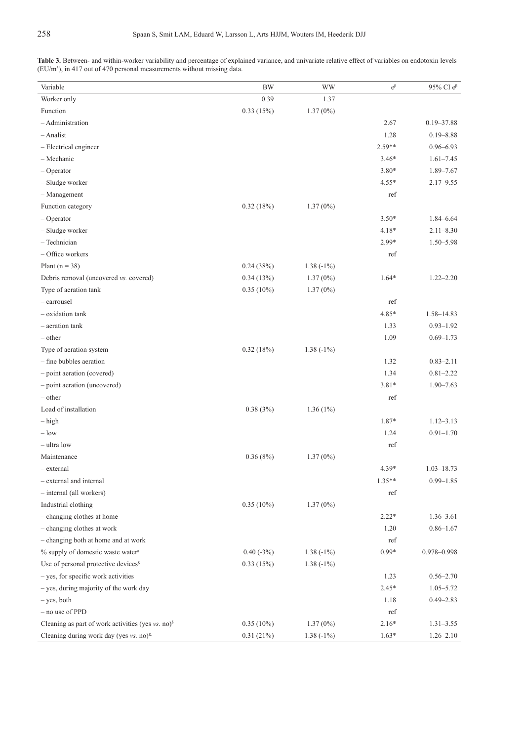|  |  |                                                                           |  |  | Table 3. Between- and within-worker variability and percentage of explained variance, and univariate relative effect of variables on endotoxin levels |  |  |  |
|--|--|---------------------------------------------------------------------------|--|--|-------------------------------------------------------------------------------------------------------------------------------------------------------|--|--|--|
|  |  | $(EU/m3)$ , in 417 out of 470 personal measurements without missing data. |  |  |                                                                                                                                                       |  |  |  |

| Variable                                                      | <b>BW</b>    | <b>WW</b>   | $e^{\beta}$ | 95% CI $e^{\beta}$ |
|---------------------------------------------------------------|--------------|-------------|-------------|--------------------|
| Worker only                                                   | 0.39         | 1.37        |             |                    |
| Function                                                      | 0.33(15%)    | $1.37(0\%)$ |             |                    |
| - Administration                                              |              |             | 2.67        | $0.19 - 37.88$     |
| $-$ Analist                                                   |              |             | 1.28        | $0.19 - 8.88$      |
| - Electrical engineer                                         |              |             | 2.59**      | $0.96 - 6.93$      |
| - Mechanic                                                    |              |             | $3.46*$     | $1.61 - 7.45$      |
| $-$ Operator                                                  |              |             | $3.80*$     | 1.89-7.67          |
| - Sludge worker                                               |              |             | $4.55*$     | $2.17 - 9.55$      |
| $-$ Management                                                |              |             | ref         |                    |
| Function category                                             | 0.32(18%)    | $1.37(0\%)$ |             |                    |
| $-$ Operator                                                  |              |             | $3.50*$     | $1.84 - 6.64$      |
| - Sludge worker                                               |              |             | 4.18*       | $2.11 - 8.30$      |
| - Technician                                                  |              |             | 2.99*       | 1.50-5.98          |
| $-$ Office workers                                            |              |             | ref         |                    |
| Plant ( $n = 38$ )                                            | 0.24(38%)    | $1.38(-1%)$ |             |                    |
| Debris removal (uncovered vs. covered)                        | 0.34(13%)    | $1.37(0\%)$ | $1.64*$     | $1.22 - 2.20$      |
| Type of aeration tank                                         | $0.35(10\%)$ | $1.37(0\%)$ |             |                    |
| - carrousel                                                   |              |             | ref         |                    |
| - oxidation tank                                              |              |             | $4.85*$     | 1.58-14.83         |
| - aeration tank                                               |              |             | 1.33        | $0.93 - 1.92$      |
| $-$ other                                                     |              |             | 1.09        | $0.69 - 1.73$      |
| Type of aeration system                                       | 0.32(18%)    | $1.38(-1%)$ |             |                    |
| - fine bubbles aeration                                       |              |             | 1.32        | $0.83 - 2.11$      |
| - point aeration (covered)                                    |              |             | 1.34        | $0.81 - 2.22$      |
| - point aeration (uncovered)                                  |              |             | $3.81*$     | $1.90 - 7.63$      |
| $-$ other                                                     |              |             | ref         |                    |
| Load of installation                                          | 0.38(3%)     | $1.36(1\%)$ |             |                    |
| $-$ high                                                      |              |             | 1.87*       | $1.12 - 3.13$      |
| $-$ low                                                       |              |             | 1.24        | $0.91 - 1.70$      |
| $-$ ultra low                                                 |              |             | ref         |                    |
| Maintenance                                                   | 0.36(8%)     | $1.37(0\%)$ |             |                    |
| $-$ external                                                  |              |             | 4.39*       | $1.03 - 18.73$     |
| - external and internal                                       |              |             | $1.35**$    | $0.99 - 1.85$      |
| $-$ internal (all workers)                                    |              |             | ref         |                    |
| Industrial clothing                                           | $0.35(10\%)$ | $1.37(0\%)$ |             |                    |
| - changing clothes at home                                    |              |             | $2.22*$     | $1.36 - 3.61$      |
| - changing clothes at work                                    |              |             | 1.20        | $0.86 - 1.67$      |
| - changing both at home and at work                           |              |             | ref         |                    |
| $%$ supply of domestic waste water $#$                        | $0.40(-3%)$  | $1.38(-1%)$ | $0.99*$     | 0.978-0.998        |
| Use of personal protective devices <sup>s</sup>               | 0.33(15%)    | $1.38(-1%)$ |             |                    |
| - yes, for specific work activities                           |              |             | 1.23        | $0.56 - 2.70$      |
| - yes, during majority of the work day                        |              |             | $2.45*$     | $1.05 - 5.72$      |
| $-$ yes, both                                                 |              |             | 1.18        | $0.49 - 2.83$      |
| - no use of PPD                                               |              |             | ref         |                    |
| Cleaning as part of work activities (yes vs. no) <sup>s</sup> | $0.35(10\%)$ | $1.37(0\%)$ | $2.16*$     | $1.31 - 3.55$      |
| Cleaning during work day (yes vs. no) <sup>&amp;</sup>        | 0.31(21%)    | $1.38(-1%)$ | $1.63*$     | $1.26 - 2.10$      |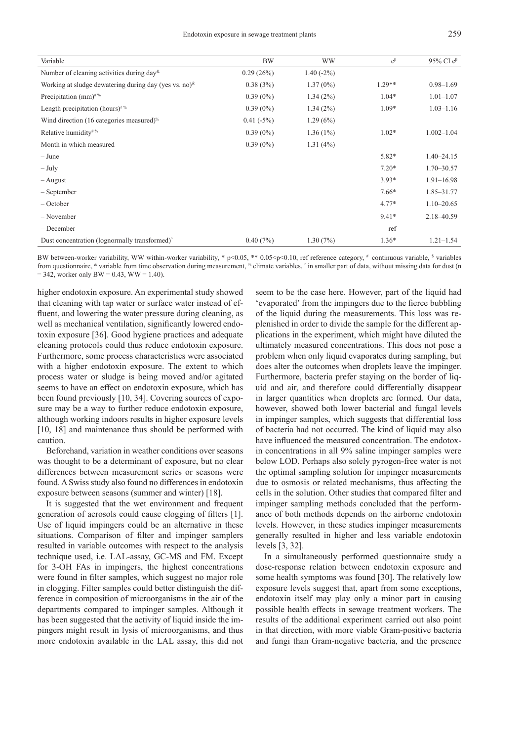Endotoxin exposure in sewage treatment plants 259

| ۰,<br>× |
|---------|

| <b>BW</b>   | <b>WW</b>   | $e^{\beta}$ | 95% CI $e^{\beta}$ |
|-------------|-------------|-------------|--------------------|
| 0.29(26%)   | $1.40(-2%)$ |             |                    |
| 0.38(3%)    | $1.37(0\%)$ | $1.29**$    | $0.98 - 1.69$      |
| $0.39(0\%)$ | 1.34(2%)    | $1.04*$     | $1.01 - 1.07$      |
| $0.39(0\%)$ | 1.34(2%)    | $1.09*$     | $1.03 - 1.16$      |
| $0.41(-5%)$ | 1.29(6%)    |             |                    |
| $0.39(0\%)$ | $1.36(1\%)$ | $1.02*$     | $1.002 - 1.04$     |
| $0.39(0\%)$ | 1.31(4%)    |             |                    |
|             |             | $5.82*$     | $1.40 - 24.15$     |
|             |             | $7.20*$     | $1.70 - 30.57$     |
|             |             | $3.93*$     | $1.91 - 16.98$     |
|             |             | $7.66*$     | 1.85-31.77         |
|             |             | $4.77*$     | $1.10 - 20.65$     |
|             |             | $9.41*$     | 2.18-40.59         |
|             |             | ref         |                    |
| 0.40(7%)    | 1.30(7%)    | $1.36*$     | $1.21 - 1.54$      |
|             |             |             |                    |

BW between-worker variability, WW within-worker variability,  $*$  p<0.05,  $*$   $*$  0.05<p<0.10, ref reference category,  $*$  continuous variable,  $*$  variables from questionnaire, <sup>&</sup> variable from time observation during measurement, <sup>\*\*</sup> climate variables, ^ in smaller part of data, without missing data for dust (n  $= 342$ , worker only BW = 0.43, WW = 1.40).

higher endotoxin exposure. An experimental study showed that cleaning with tap water or surface water instead of effluent, and lowering the water pressure during cleaning, as well as mechanical ventilation, significantly lowered endotoxin exposure [36]. Good hygiene practices and adequate cleaning protocols could thus reduce endotoxin exposure. Furthermore, some process characteristics were associated with a higher endotoxin exposure. The extent to which process water or sludge is being moved and/or agitated seems to have an effect on endotoxin exposure, which has been found previously [10, 34]. Covering sources of exposure may be a way to further reduce endotoxin exposure, although working indoors results in higher exposure levels [10, 18] and maintenance thus should be performed with caution.

Beforehand, variation in weather conditions over seasons was thought to be a determinant of exposure, but no clear differences between measurement series or seasons were found. A Swiss study also found no differences in endotoxin exposure between seasons (summer and winter) [18].

It is suggested that the wet environment and frequent generation of aerosols could cause clogging of filters [1]. Use of liquid impingers could be an alternative in these situations. Comparison of filter and impinger samplers resulted in variable outcomes with respect to the analysis technique used, i.e. LAL-assay, GC-MS and FM. Except for 3-OH FAs in impingers, the highest concentrations were found in filter samples, which suggest no major role in clogging. Filter samples could better distinguish the difference in composition of microorganisms in the air of the departments compared to impinger samples. Although it has been suggested that the activity of liquid inside the impingers might result in lysis of microorganisms, and thus more endotoxin available in the LAL assay, this did not

seem to be the case here. However, part of the liquid had 'evaporated' from the impingers due to the fierce bubbling of the liquid during the measurements. This loss was replenished in order to divide the sample for the different applications in the experiment, which might have diluted the ultimately measured concentrations. This does not pose a problem when only liquid evaporates during sampling, but does alter the outcomes when droplets leave the impinger. Furthermore, bacteria prefer staying on the border of liquid and air, and therefore could differentially disappear in larger quantities when droplets are formed. Our data, however, showed both lower bacterial and fungal levels in impinger samples, which suggests that differential loss of bacteria had not occurred. The kind of liquid may also have influenced the measured concentration. The endotoxin concentrations in all 9% saline impinger samples were below LOD. Perhaps also solely pyrogen-free water is not the optimal sampling solution for impinger measurements due to osmosis or related mechanisms, thus affecting the cells in the solution. Other studies that compared filter and impinger sampling methods concluded that the performance of both methods depends on the airborne endotoxin levels. However, in these studies impinger measurements generally resulted in higher and less variable endotoxin levels [3, 32].

In a simultaneously performed questionnaire study a dose-response relation between endotoxin exposure and some health symptoms was found [30]. The relatively low exposure levels suggest that, apart from some exceptions, endotoxin itself may play only a minor part in causing possible health effects in sewage treatment workers. The results of the additional experiment carried out also point in that direction, with more viable Gram-positive bacteria and fungi than Gram-negative bacteria, and the presence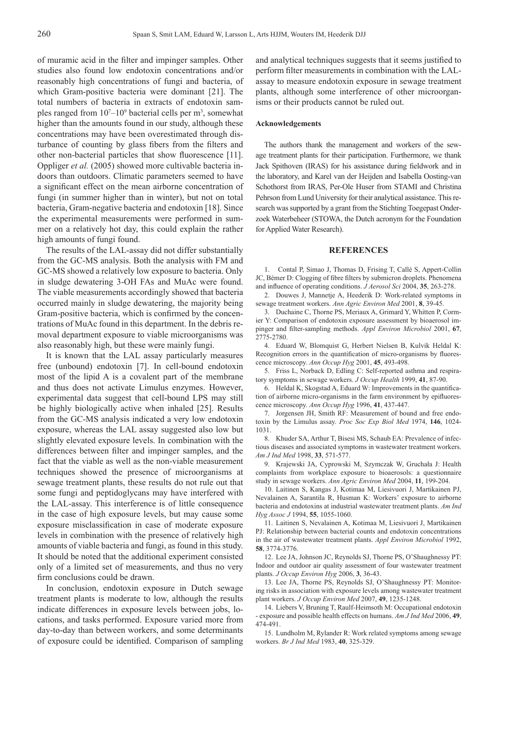of muramic acid in the filter and impinger samples. Other studies also found low endotoxin concentrations and/or reasonably high concentrations of fungi and bacteria, of which Gram-positive bacteria were dominant [21]. The total numbers of bacteria in extracts of endotoxin samples ranged from  $10<sup>7</sup> - 10<sup>9</sup>$  bacterial cells per m<sup>3</sup>, somewhat higher than the amounts found in our study, although these concentrations may have been overestimated through disturbance of counting by glass fibers from the filters and other non-bacterial particles that show fluorescence [11]. Oppliger *et al.* (2005) showed more cultivable bacteria indoors than outdoors. Climatic parameters seemed to have a significant effect on the mean airborne concentration of fungi (in summer higher than in winter), but not on total bacteria, Gram-negative bacteria and endotoxin [18]. Since the experimental measurements were performed in summer on a relatively hot day, this could explain the rather high amounts of fungi found.

The results of the LAL-assay did not differ substantially from the GC-MS analysis. Both the analysis with FM and GC-MS showed a relatively low exposure to bacteria. Only in sludge dewatering 3-OH FAs and MuAc were found. The viable measurements accordingly showed that bacteria occurred mainly in sludge dewatering, the majority being Gram-positive bacteria, which is confirmed by the concentrations of MuAc found in this department. In the debris removal department exposure to viable microorganisms was also reasonably high, but these were mainly fungi.

It is known that the LAL assay particularly measures free (unbound) endotoxin [7]. In cell-bound endotoxin most of the lipid A is a covalent part of the membrane and thus does not activate Limulus enzymes. However, experimental data suggest that cell-bound LPS may still be highly biologically active when inhaled [25]. Results from the GC-MS analysis indicated a very low endotoxin exposure, whereas the LAL assay suggested also low but slightly elevated exposure levels. In combination with the differences between filter and impinger samples, and the fact that the viable as well as the non-viable measurement techniques showed the presence of microorganisms at sewage treatment plants, these results do not rule out that some fungi and peptidoglycans may have interfered with the LAL-assay. This interference is of little consequence in the case of high exposure levels, but may cause some exposure misclassification in case of moderate exposure levels in combination with the presence of relatively high amounts of viable bacteria and fungi, as found in this study. It should be noted that the additional experiment consisted only of a limited set of measurements, and thus no very firm conclusions could be drawn.

In conclusion, endotoxin exposure in Dutch sewage treatment plants is moderate to low, although the results indicate differences in exposure levels between jobs, locations, and tasks performed. Exposure varied more from day-to-day than between workers, and some determinants of exposure could be identified. Comparison of sampling and analytical techniques suggests that it seems justified to perform filter measurements in combination with the LALassay to measure endotoxin exposure in sewage treatment plants, although some interference of other microorganisms or their products cannot be ruled out.

#### **Acknowledgements**

The authors thank the management and workers of the sewage treatment plants for their participation. Furthermore, we thank Jack Spithoven (IRAS) for his assistance during fieldwork and in the laboratory, and Karel van der Heijden and Isabella Oosting-van Schothorst from IRAS, Per-Ole Huser from STAMI and Christina Pehrson from Lund University for their analytical assistance. This research was supported by a grant from the Stichting Toegepast Onderzoek Waterbeheer (STOWA, the Dutch acronym for the Foundation for Applied Water Research).

#### **REFERENCES**

1. Contal P, Simao J, Thomas D, Frising T, Callé S, Appert-Collin JC, Bémer D: Clogging of fibre filters by submicron droplets. Phenomena and influence of operating conditions. *J Aerosol Sci* 2004, 35, 263-278.

2. Douwes J, Mannetje A, Heederik D: Work-related symptoms in sewage treatment workers. *Ann Agric Environ Med* 2001, **8**, 39-45.

3. Duchaine C, Thorne PS, Meriaux A, Grimard Y, Whitten P, Cormier Y: Comparison of endotoxin exposure assessment by bioaerosol impinger and filter-sampling methods. *Appl Environ Microbiol* 2001, 67, 2775-2780.

4. Eduard W, Blomquist G, Herbert Nielsen B, Kulvik Heldal K: Recognition errors in the quantification of micro-organisms by fluorescence microscopy. *Ann Occup Hyg* 2001, **45**, 493-498.

5. Friss L, Norback D, Edling C: Self-reported asthma and respiratory symptoms in sewage workers. *J Occup Health* 1999, **41**, 87-90.

6. Heldal K, Skogstad A, Eduard W: Improvements in the quantification of airborne micro-organisms in the farm environment by epifluorescence microscopy. *Ann Occup Hyg* 1996, **41**, 437-447.

7. Jorgensen JH, Smith RF: Measurement of bound and free endotoxin by the Limulus assay. *Proc Soc Exp Biol Med* 1974, **146**, 1024- 1031.

8. Khuder SA, Arthur T, Bisesi MS, Schaub EA: Prevalence of infectious diseases and associated symptoms in wastewater treatment workers. *Am J Ind Med* 1998, **33**, 571-577.

9. Krajewski JA, Cyprowski M, Szymczak W, Gruchała J: Health complaints from workplace exposure to bioaerosols: a questionnaire study in sewage workers. *Ann Agric Environ Med* 2004, **11**, 199-204.

10. Laitinen S, Kangas J, Kotimaa M, Liesivuori J, Martikainen PJ, Nevalainen A, Sarantila R, Husman K: Workers' exposure to airborne bacteria and endotoxins at industrial wastewater treatment plants. *Am Ind Hyg Assoc J* 1994, **55**, 1055-1060.

11. Laitinen S, Nevalainen A, Kotimaa M, Liesivuori J, Martikainen PJ: Relationship between bacterial counts and endotoxin concentrations in the air of wastewater treatment plants. *Appl Environ Microbiol* 1992, **58**, 3774-3776.

12. Lee JA, Johnson JC, Reynolds SJ, Thorne PS, O'Shaughnessy PT: Indoor and outdoor air quality assessment of four wastewater treatment plants. *J Occup Environ Hyg* 2006, **3**, 36-43.

13. Lee JA, Thorne PS, Reynolds SJ, O'Shaughnessy PT: Monitoring risks in association with exposure levels among wastewater treatment plant workers. *J Occup Environ Med* 2007, **49**, 1235-1248.

14. Liebers V, Bruning T, Raulf-Heimsoth M: Occupational endotoxin - exposure and possible health effects on humans. *Am J Ind Med* 2006, **49**, 474-491.

15. Lundholm M, Rylander R: Work related symptoms among sewage workers. *Br J Ind Med* 1983, **40**, 325-329.